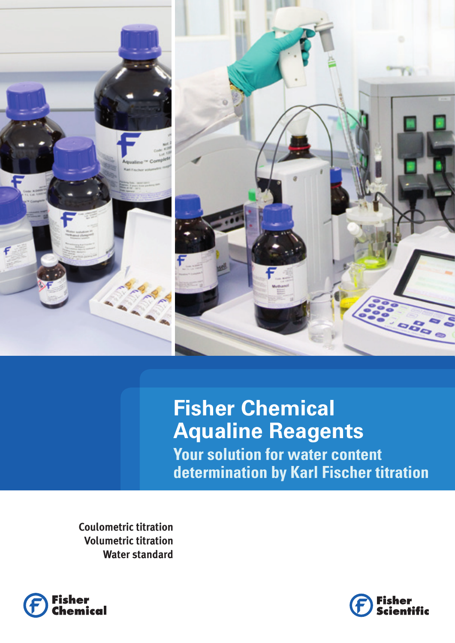

**Fisher Chemical Aqualine Reagents Your solution for water content determination by Karl Fischer titration**

**Coulometric titration Volumetric titration Water standard**



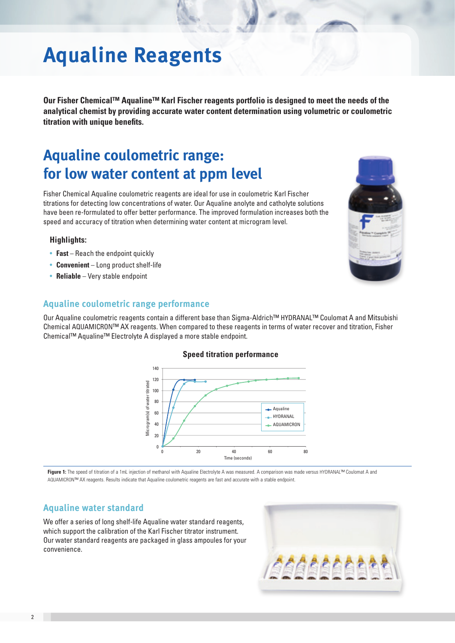# **Aqualine Reagents**

**Our Fisher Chemical™ Aqualine™ Karl Fischer reagents portfolio is designed to meet the needs of the analytical chemist by providing accurate water content determination using volumetric or coulometric titration with unique benefits.** 

## **Aqualine coulometric range: for low water content at ppm level**

Fisher Chemical Aqualine coulometric reagents are ideal for use in coulometric Karl Fischer titrations for detecting low concentrations of water. Our Aqualine anolyte and catholyte solutions have been re-formulated to offer better performance. The improved formulation increases both the speed and accuracy of titration when determining water content at microgram level.

### **Highlights:**

- **Fast** Reach the endpoint quickly
- • **Convenient**  Long product shelf-life
- • **Reliable**  Very stable endpoint

### **Aqualine coulometric range performance**

Our Aqualine coulometric reagents contain a different base than Sigma-Aldrich™ HYDRANAL™ Coulomat A and Mitsubishi Chemical AQUAMICRON™ AX reagents. When compared to these reagents in terms of water recover and titration, Fisher Chemical™ Aqualine™ Electrolyte A displayed a more stable endpoint.

**Speed titration performance**

## **Figure 1:** The speed of titration of a 1mL injection of methanol with Aqualine Electrolyte A was measured. A comparison was made versus HYDRANAL™ Coulomat A and

AQUAMICRON™ AX reagents. Results indicate that Aqualine coulometric reagents are fast and accurate with a stable endpoint.

## **Aqualine water standard**

We offer a series of long shelf-life Aqualine water standard reagents, which support the calibration of the Karl Fischer titrator instrument. Our water standard reagents are packaged in glass ampoules for your convenience.

Microgram(s) of water titrated

Microgram(s) of water titrated



0 20 40 60 80 Time (seconds)

Aqualine HYDRANAL **AQUAMICRON** 



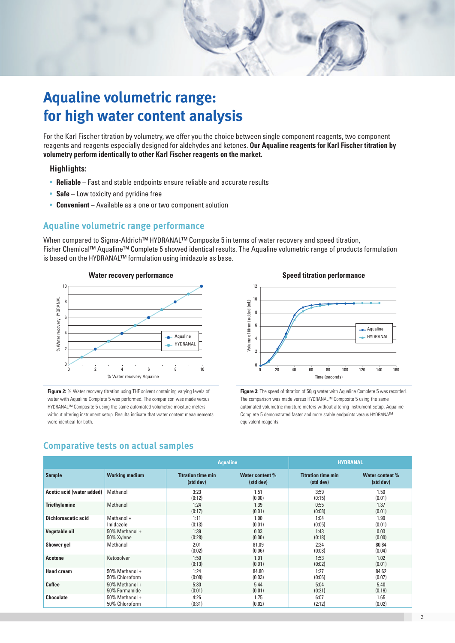

For the Karl Fischer titration by volumetry, we offer you the choice between single component reagents, two component reagents and reagents especially designed for aldehydes and ketones. **Our Aqualine reagents for Karl Fischer titration by volumetry perform identically to other Karl Fischer reagents on the market.**

### **Highlights:**

- **Reliable** Fast and stable endpoints ensure reliable and accurate results
- **Safe** Low toxicity and pyridine free
- • **Convenient**  Available as a one or two component solution

### **Aqualine volumetric range performance**

When compared to Sigma-Aldrich™ HYDRANAL™ Composite 5 in terms of water recovery and speed titration, Fisher Chemical™ Aqualine™ Complete 5 showed identical results. The Aqualine volumetric range of products formulation is based on the HYDRANAL™ formulation using imidazole as base.



**Figure 2:** % Water recovery titration using THF solvent containing varying levels of water with Aqualine Complete 5 was performed. The comparison was made versus HYDRANAL™ Composite 5 using the same automated volumetric moisture meters without altering instrument setup. Results indicate that water content measurements were identical for both.



Figure 3: The speed of titration of 50µg water with Aqualine Complete 5 was recorded. The comparison was made versus HYDRANAL™ Composite 5 using the same automated volumetric moisture meters without altering instrument setup. Aqualine Complete 5 demonstrated faster and more stable endpoints versus HYDRANA™ equivalent reagents.

### **Comparative tests on actual samples**

|                           |                                    | <b>Aqualine</b>                        |                              | <b>HYDRANAL</b>                        |                              |
|---------------------------|------------------------------------|----------------------------------------|------------------------------|----------------------------------------|------------------------------|
| <b>Sample</b>             | <b>Working medium</b>              | <b>Titration time min</b><br>(std dev) | Water content %<br>(std dev) | <b>Titration time min</b><br>(std dev) | Water content %<br>(std dev) |
| Acetic acid (water added) | Methanol                           | 3:23<br>(0:12)                         | 1.51<br>(0.00)               | 3:59<br>(0:15)                         | 1.50<br>(0.01)               |
| <b>Triethylamine</b>      | Methanol                           | 1:24<br>(0:17)                         | 1.39<br>(0.01)               | 0:55<br>(0:08)                         | 1.37<br>(0.01)               |
| Dichloroacetic acid       | Methanol +<br>Imidazole            | 1:11<br>(0:13)                         | 1.90<br>(0.01)               | 1:04<br>(0:05)                         | 1.90<br>(0.01)               |
| <b>Vegetable oil</b>      | 50% Methanol +<br>50% Xylene       | 1:39<br>(0:28)                         | 0.03<br>(0.00)               | 1:43<br>(0:18)                         | 0.03<br>(0.00)               |
| Shower gel                | Methanol                           | 2:01<br>(0:02)                         | 81.09<br>(0.06)              | 2:34<br>(0:08)                         | 80.84<br>(0.04)              |
| <b>Acetone</b>            | Ketosolver                         | 1:50<br>(0:13)                         | 1.01<br>(0.01)               | 1:53<br>(0:02)                         | 1.02<br>(0.01)               |
| <b>Hand cream</b>         | 50% Methanol +<br>50% Chloroform   | 1:24<br>(0:08)                         | 84.80<br>(0.03)              | 1:27<br>(0:06)                         | 84.62<br>(0.07)              |
| <b>Coffee</b>             | $50\%$ Methanol +<br>50% Formamide | 5:30<br>(0:01)                         | 5.44<br>(0.01)               | 5:04<br>(0:21)                         | 5.40<br>(0.19)               |
| <b>Chocolate</b>          | 50% Methanol +<br>50% Chloroform   | 4:26<br>(0:31)                         | 1.75<br>(0.02)               | 6:07<br>(2:12)                         | 1.65<br>(0.02)               |